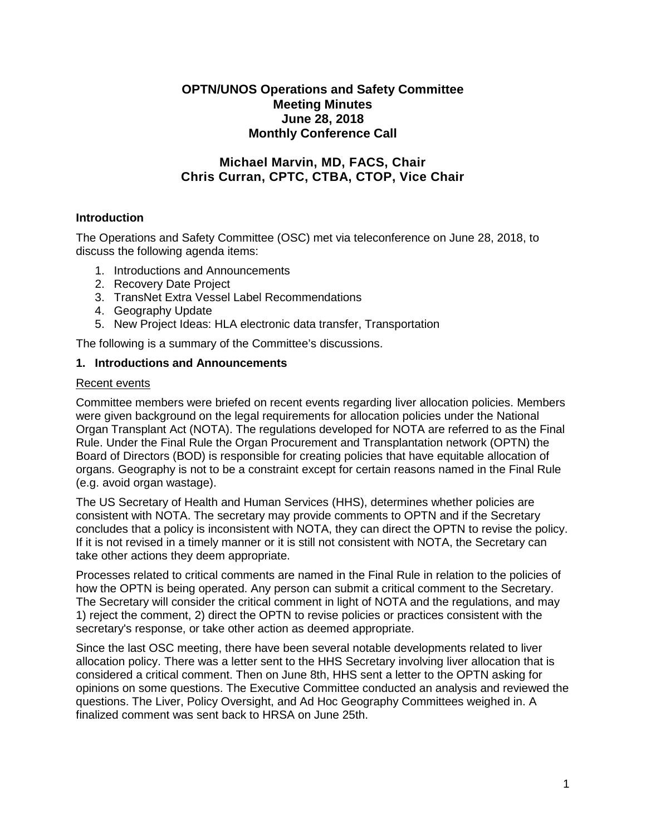## **OPTN/UNOS Operations and Safety Committee Meeting Minutes June 28, 2018 Monthly Conference Call**

# **Michael Marvin, MD, FACS, Chair Chris Curran, CPTC, CTBA, CTOP, Vice Chair**

## **Introduction**

The Operations and Safety Committee (OSC) met via teleconference on June 28, 2018, to discuss the following agenda items:

- 1. Introductions and Announcements
- 2. Recovery Date Project
- 3. TransNet Extra Vessel Label Recommendations
- 4. Geography Update
- 5. New Project Ideas: HLA electronic data transfer, Transportation

The following is a summary of the Committee's discussions.

#### **1. Introductions and Announcements**

#### Recent events

Committee members were briefed on recent events regarding liver allocation policies. Members were given background on the legal requirements for allocation policies under the National Organ Transplant Act (NOTA). The regulations developed for NOTA are referred to as the Final Rule. Under the Final Rule the Organ Procurement and Transplantation network (OPTN) the Board of Directors (BOD) is responsible for creating policies that have equitable allocation of organs. Geography is not to be a constraint except for certain reasons named in the Final Rule (e.g. avoid organ wastage).

The US Secretary of Health and Human Services (HHS), determines whether policies are consistent with NOTA. The secretary may provide comments to OPTN and if the Secretary concludes that a policy is inconsistent with NOTA, they can direct the OPTN to revise the policy. If it is not revised in a timely manner or it is still not consistent with NOTA, the Secretary can take other actions they deem appropriate.

Processes related to critical comments are named in the Final Rule in relation to the policies of how the OPTN is being operated. Any person can submit a critical comment to the Secretary. The Secretary will consider the critical comment in light of NOTA and the regulations, and may 1) reject the comment, 2) direct the OPTN to revise policies or practices consistent with the secretary's response, or take other action as deemed appropriate.

Since the last OSC meeting, there have been several notable developments related to liver allocation policy. There was a letter sent to the HHS Secretary involving liver allocation that is considered a critical comment. Then on June 8th, HHS sent a letter to the OPTN asking for opinions on some questions. The Executive Committee conducted an analysis and reviewed the questions. The Liver, Policy Oversight, and Ad Hoc Geography Committees weighed in. A finalized comment was sent back to HRSA on June 25th.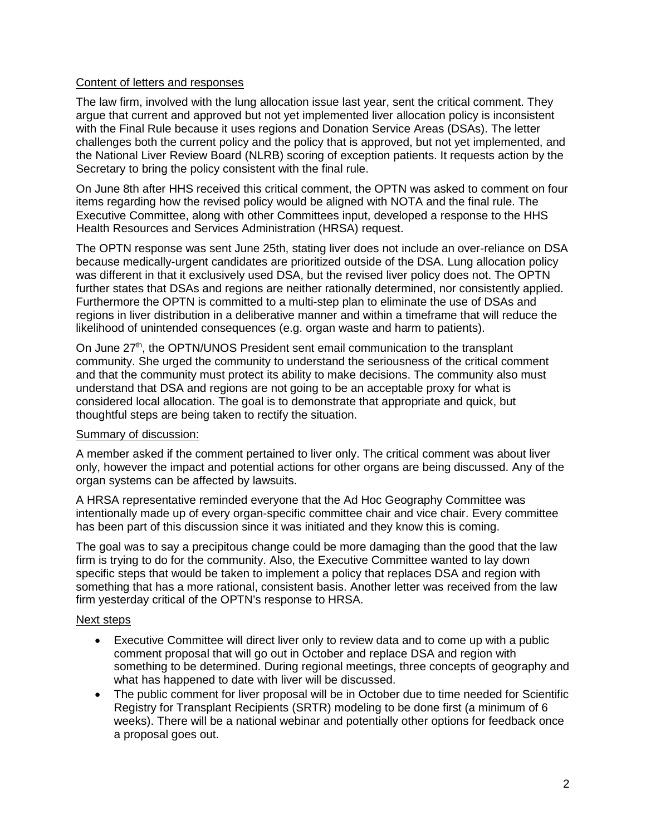## Content of letters and responses

The law firm, involved with the lung allocation issue last year, sent the critical comment. They argue that current and approved but not yet implemented liver allocation policy is inconsistent with the Final Rule because it uses regions and Donation Service Areas (DSAs). The letter challenges both the current policy and the policy that is approved, but not yet implemented, and the National Liver Review Board (NLRB) scoring of exception patients. It requests action by the Secretary to bring the policy consistent with the final rule.

On June 8th after HHS received this critical comment, the OPTN was asked to comment on four items regarding how the revised policy would be aligned with NOTA and the final rule. The Executive Committee, along with other Committees input, developed a response to the HHS Health Resources and Services Administration (HRSA) request.

The OPTN response was sent June 25th, stating liver does not include an over-reliance on DSA because medically-urgent candidates are prioritized outside of the DSA. Lung allocation policy was different in that it exclusively used DSA, but the revised liver policy does not. The OPTN further states that DSAs and regions are neither rationally determined, nor consistently applied. Furthermore the OPTN is committed to a multi-step plan to eliminate the use of DSAs and regions in liver distribution in a deliberative manner and within a timeframe that will reduce the likelihood of unintended consequences (e.g. organ waste and harm to patients).

On June  $27<sup>th</sup>$ , the OPTN/UNOS President sent email communication to the transplant community. She urged the community to understand the seriousness of the critical comment and that the community must protect its ability to make decisions. The community also must understand that DSA and regions are not going to be an acceptable proxy for what is considered local allocation. The goal is to demonstrate that appropriate and quick, but thoughtful steps are being taken to rectify the situation.

## Summary of discussion:

A member asked if the comment pertained to liver only. The critical comment was about liver only, however the impact and potential actions for other organs are being discussed. Any of the organ systems can be affected by lawsuits.

A HRSA representative reminded everyone that the Ad Hoc Geography Committee was intentionally made up of every organ-specific committee chair and vice chair. Every committee has been part of this discussion since it was initiated and they know this is coming.

The goal was to say a precipitous change could be more damaging than the good that the law firm is trying to do for the community. Also, the Executive Committee wanted to lay down specific steps that would be taken to implement a policy that replaces DSA and region with something that has a more rational, consistent basis. Another letter was received from the law firm yesterday critical of the OPTN's response to HRSA.

## Next steps

- Executive Committee will direct liver only to review data and to come up with a public comment proposal that will go out in October and replace DSA and region with something to be determined. During regional meetings, three concepts of geography and what has happened to date with liver will be discussed.
- The public comment for liver proposal will be in October due to time needed for Scientific Registry for Transplant Recipients (SRTR) modeling to be done first (a minimum of 6 weeks). There will be a national webinar and potentially other options for feedback once a proposal goes out.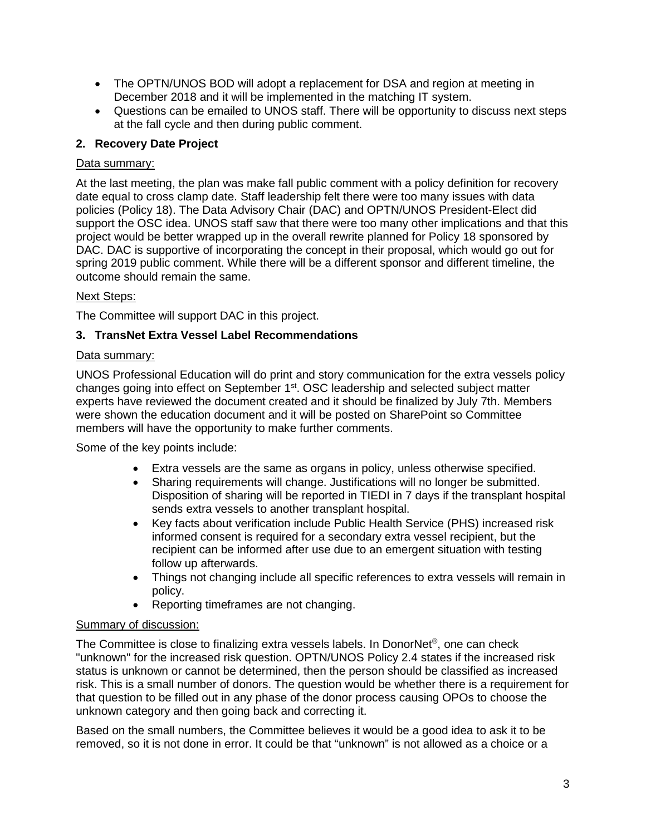- The OPTN/UNOS BOD will adopt a replacement for DSA and region at meeting in December 2018 and it will be implemented in the matching IT system.
- Questions can be emailed to UNOS staff. There will be opportunity to discuss next steps at the fall cycle and then during public comment.

# **2. Recovery Date Project**

## Data summary:

At the last meeting, the plan was make fall public comment with a policy definition for recovery date equal to cross clamp date. Staff leadership felt there were too many issues with data policies (Policy 18). The Data Advisory Chair (DAC) and OPTN/UNOS President-Elect did support the OSC idea. UNOS staff saw that there were too many other implications and that this project would be better wrapped up in the overall rewrite planned for Policy 18 sponsored by DAC. DAC is supportive of incorporating the concept in their proposal, which would go out for spring 2019 public comment. While there will be a different sponsor and different timeline, the outcome should remain the same.

## Next Steps:

The Committee will support DAC in this project.

## **3. TransNet Extra Vessel Label Recommendations**

## Data summary:

UNOS Professional Education will do print and story communication for the extra vessels policy changes going into effect on September 1<sup>st</sup>. OSC leadership and selected subject matter experts have reviewed the document created and it should be finalized by July 7th. Members were shown the education document and it will be posted on SharePoint so Committee members will have the opportunity to make further comments.

Some of the key points include:

- Extra vessels are the same as organs in policy, unless otherwise specified.
- Sharing requirements will change. Justifications will no longer be submitted. Disposition of sharing will be reported in TIEDI in 7 days if the transplant hospital sends extra vessels to another transplant hospital.
- Key facts about verification include Public Health Service (PHS) increased risk informed consent is required for a secondary extra vessel recipient, but the recipient can be informed after use due to an emergent situation with testing follow up afterwards.
- Things not changing include all specific references to extra vessels will remain in policy.
- Reporting timeframes are not changing.

## Summary of discussion:

The Committee is close to finalizing extra vessels labels. In DonorNet®, one can check "unknown" for the increased risk question. OPTN/UNOS Policy 2.4 states if the increased risk status is unknown or cannot be determined, then the person should be classified as increased risk. This is a small number of donors. The question would be whether there is a requirement for that question to be filled out in any phase of the donor process causing OPOs to choose the unknown category and then going back and correcting it.

Based on the small numbers, the Committee believes it would be a good idea to ask it to be removed, so it is not done in error. It could be that "unknown" is not allowed as a choice or a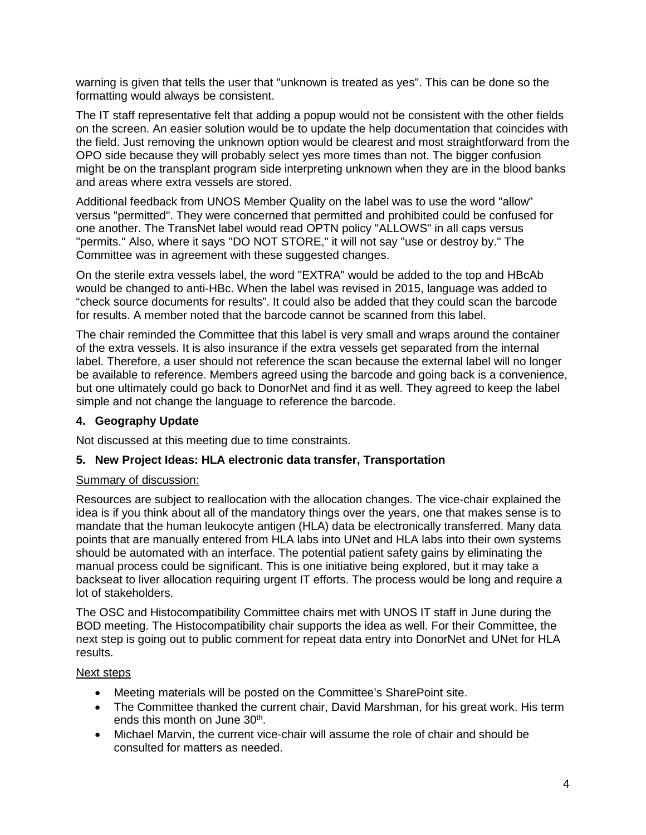warning is given that tells the user that "unknown is treated as yes". This can be done so the formatting would always be consistent.

The IT staff representative felt that adding a popup would not be consistent with the other fields on the screen. An easier solution would be to update the help documentation that coincides with the field. Just removing the unknown option would be clearest and most straightforward from the OPO side because they will probably select yes more times than not. The bigger confusion might be on the transplant program side interpreting unknown when they are in the blood banks and areas where extra vessels are stored.

Additional feedback from UNOS Member Quality on the label was to use the word "allow" versus "permitted". They were concerned that permitted and prohibited could be confused for one another. The TransNet label would read OPTN policy "ALLOWS" in all caps versus "permits." Also, where it says "DO NOT STORE," it will not say "use or destroy by." The Committee was in agreement with these suggested changes.

On the sterile extra vessels label, the word "EXTRA" would be added to the top and HBcAb would be changed to anti-HBc. When the label was revised in 2015, language was added to "check source documents for results". It could also be added that they could scan the barcode for results. A member noted that the barcode cannot be scanned from this label.

The chair reminded the Committee that this label is very small and wraps around the container of the extra vessels. It is also insurance if the extra vessels get separated from the internal label. Therefore, a user should not reference the scan because the external label will no longer be available to reference. Members agreed using the barcode and going back is a convenience, but one ultimately could go back to DonorNet and find it as well. They agreed to keep the label simple and not change the language to reference the barcode.

## **4. Geography Update**

Not discussed at this meeting due to time constraints.

## **5. New Project Ideas: HLA electronic data transfer, Transportation**

## Summary of discussion:

Resources are subject to reallocation with the allocation changes. The vice-chair explained the idea is if you think about all of the mandatory things over the years, one that makes sense is to mandate that the human leukocyte antigen (HLA) data be electronically transferred. Many data points that are manually entered from HLA labs into UNet and HLA labs into their own systems should be automated with an interface. The potential patient safety gains by eliminating the manual process could be significant. This is one initiative being explored, but it may take a backseat to liver allocation requiring urgent IT efforts. The process would be long and require a lot of stakeholders.

The OSC and Histocompatibility Committee chairs met with UNOS IT staff in June during the BOD meeting. The Histocompatibility chair supports the idea as well. For their Committee, the next step is going out to public comment for repeat data entry into DonorNet and UNet for HLA results.

## Next steps

- Meeting materials will be posted on the Committee's SharePoint site.
- The Committee thanked the current chair, David Marshman, for his great work. His term ends this month on June 30<sup>th</sup>.
- Michael Marvin, the current vice-chair will assume the role of chair and should be consulted for matters as needed.